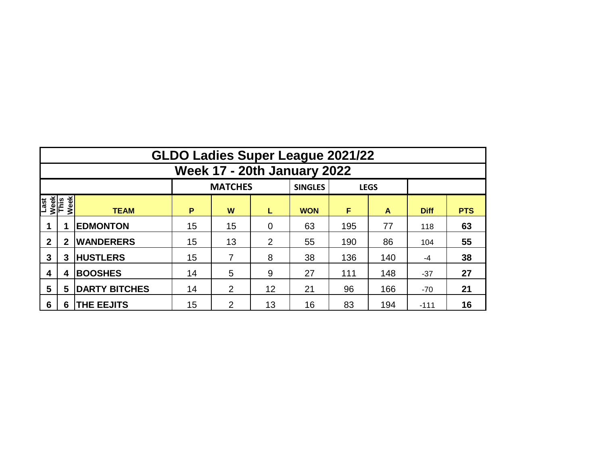|                                     | <b>GLDO Ladies Super League 2021/22</b> |                      |    |                |                |                |     |             |             |            |  |  |  |  |  |
|-------------------------------------|-----------------------------------------|----------------------|----|----------------|----------------|----------------|-----|-------------|-------------|------------|--|--|--|--|--|
|                                     | <b>Week 17 - 20th January 2022</b>      |                      |    |                |                |                |     |             |             |            |  |  |  |  |  |
|                                     |                                         |                      |    | <b>MATCHES</b> |                | <b>SINGLES</b> |     | <b>LEGS</b> |             |            |  |  |  |  |  |
| Week<br>This<br>Week<br><b>Last</b> |                                         | <b>TEAM</b>          | P  | W              | L              | <b>WON</b>     | F   | A           | <b>Diff</b> | <b>PTS</b> |  |  |  |  |  |
|                                     |                                         | <b>EDMONTON</b>      | 15 | 15             | $\overline{0}$ | 63             | 195 | 77          | 118         | 63         |  |  |  |  |  |
| $\mathbf{2}$                        | $\mathbf{2}$                            | <b>WANDERERS</b>     | 15 | 13             |                | 55             | 190 | 86          | 104         | 55         |  |  |  |  |  |
| 3                                   | 3                                       | <b>HUSTLERS</b>      | 15 |                | 8              | 38             | 136 | 140         | -4          | 38         |  |  |  |  |  |
| 4                                   | 4                                       | <b>BOOSHES</b>       | 14 | 5              | 9              | 27             | 111 | 148         | $-37$       | 27         |  |  |  |  |  |
| 5                                   | 5                                       | <b>DARTY BITCHES</b> | 14 | $\overline{2}$ | 12             | 21             | 96  | 166         | $-70$       | 21         |  |  |  |  |  |
| 6                                   | 6                                       | <b>THE EEJITS</b>    | 15 | 2              | 13             | 16             | 83  | 194         | $-111$      | 16         |  |  |  |  |  |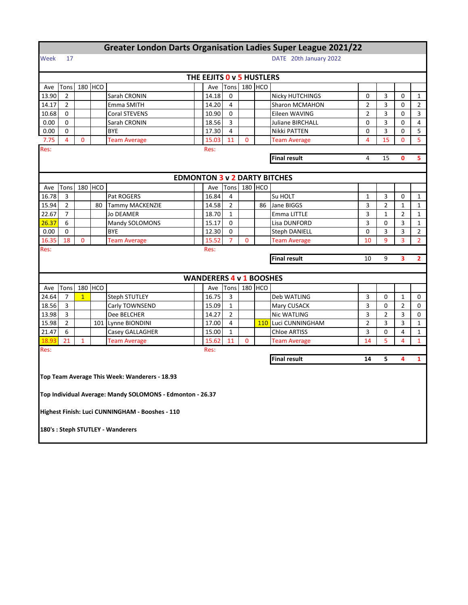| <b>Greater London Darts Organisation Ladies Super League 2021/22</b> |                              |              |         |                                                           |  |                                |                |                |         |                                     |                |                |                |                |
|----------------------------------------------------------------------|------------------------------|--------------|---------|-----------------------------------------------------------|--|--------------------------------|----------------|----------------|---------|-------------------------------------|----------------|----------------|----------------|----------------|
| Week                                                                 | DATE 20th January 2022<br>17 |              |         |                                                           |  |                                |                |                |         |                                     |                |                |                |                |
|                                                                      |                              |              |         |                                                           |  | THE EEJITS 0 v 5 HUSTLERS      |                |                |         |                                     |                |                |                |                |
| Ave                                                                  | Tons                         |              | 180 HCO |                                                           |  | Ave                            | Tons           |                | 180 HCO |                                     |                |                |                |                |
| 13.90                                                                | $\overline{2}$               |              |         | Sarah CRONIN                                              |  | 14.18                          | 0              |                |         | <b>Nicky HUTCHINGS</b><br>0         |                |                | 0              | $\mathbf{1}$   |
| 14.17                                                                | $\overline{2}$               |              |         | Emma SMITH                                                |  | 14.20                          | $\overline{4}$ |                |         | Sharon MCMAHON                      | $\overline{2}$ | 3              | 0              | $\overline{2}$ |
| 10.68                                                                | 0                            |              |         | Coral STEVENS                                             |  | 10.90                          | 0              |                |         | Eileen WAVING                       | $\overline{2}$ | 3              | 0              | 3              |
| 0.00                                                                 | 0                            |              |         | Sarah CRONIN                                              |  | 18.56                          | 3              |                |         | <b>Juliane BIRCHALL</b>             | 0              | 3              | 0              | 4              |
| 0.00                                                                 | 0                            |              |         | <b>BYE</b>                                                |  | 17.30                          | $\overline{4}$ |                |         | Nikki PATTEN                        | $\mathbf 0$    | 3              | 0              | 5              |
| 7.75                                                                 | $\overline{4}$               | $\mathbf{0}$ |         | <b>Team Average</b>                                       |  | 15.03                          | 11             | 0              |         | <b>Team Average</b>                 | 4              | 15             | 0              | 5              |
| Res:                                                                 | Res:                         |              |         |                                                           |  |                                |                |                |         |                                     |                |                |                |                |
| <b>Final result</b><br>4                                             |                              |              |         |                                                           |  |                                |                |                |         |                                     |                | 15             | O              | 5              |
|                                                                      |                              |              |         |                                                           |  |                                |                |                |         |                                     |                |                |                |                |
|                                                                      |                              |              |         |                                                           |  |                                |                |                |         | <b>EDMONTON 3 v 2 DARTY BITCHES</b> |                |                |                |                |
| Ave                                                                  | Tons                         |              | 180 HCO |                                                           |  | Ave                            | Tons           |                | 180 HCO |                                     |                |                |                |                |
| 16.78                                                                | 3                            |              |         | Pat ROGERS                                                |  | 16.84                          | 4              |                |         | Su HOLT                             | 1              | 3              | 0              | $\mathbf{1}$   |
| 15.94                                                                | $\overline{2}$               |              | 80      | <b>Tammy MACKENZIE</b>                                    |  | 14.58                          | $\overline{2}$ |                | 86      | Jane BIGGS                          | 3              | $\overline{2}$ | 1              | $\mathbf{1}$   |
| 22.67                                                                | $\overline{7}$               |              |         | Jo DEAMER                                                 |  | 18.70                          | $\mathbf{1}$   |                |         | Emma LITTLE                         | 3              | $\mathbf{1}$   | $\overline{2}$ | $\mathbf{1}$   |
| 26.37                                                                | 6                            |              |         | Mandy SOLOMONS                                            |  | 15.17                          | 0              |                |         | Lisa DUNFORD                        | 3              | 0              | 3              | $\mathbf{1}$   |
| 0.00                                                                 | 0                            |              |         | BYE                                                       |  | 12.30                          | 0              |                |         | Steph DANIELL                       | 0              | 3              | 3              | $\overline{2}$ |
| 16.35                                                                | 18                           | $\Omega$     |         | <b>Team Average</b>                                       |  | 15.52                          | $\overline{7}$ | $\overline{0}$ |         | <b>Team Average</b>                 | 10             | 9              | 3              | $\overline{2}$ |
| Res:                                                                 | Res:                         |              |         |                                                           |  |                                |                |                |         |                                     |                |                |                |                |
| <b>Final result</b><br>9<br>10<br>3                                  |                              |              |         |                                                           |  |                                |                |                |         |                                     | $\mathbf{2}$   |                |                |                |
|                                                                      |                              |              |         |                                                           |  |                                |                |                |         |                                     |                |                |                |                |
|                                                                      |                              |              |         |                                                           |  | <b>WANDERERS 4 v 1 BOOSHES</b> |                |                |         |                                     |                |                |                |                |
| Ave                                                                  | Tons                         |              | 180 HCO |                                                           |  | Ave                            | Tons           |                | 180 HCO |                                     |                |                |                |                |
| 24.64                                                                | 7                            | $\mathbf{1}$ |         | <b>Steph STUTLEY</b>                                      |  | 16.75                          | 3              |                |         | Deb WATLING                         | 3              | 0              | 1              | 0              |
| 18.56                                                                | 3                            |              |         | Carly TOWNSEND                                            |  | 15.09                          | $\mathbf{1}$   |                |         | Mary CUSACK                         | 3              | 0              | $\overline{2}$ | 0              |
| 13.98                                                                | 3                            |              |         | Dee BELCHER                                               |  | 14.27                          | $\overline{2}$ |                |         | Nic WATLING                         | 3              | $\overline{2}$ | 3              | 0              |
| 15.98                                                                | 2                            |              |         | 101 Lynne BIONDINI                                        |  | 17.00                          | 4              |                | 110     | Luci CUNNINGHAM                     | $\overline{2}$ | 3              | 3              | $\mathbf{1}$   |
| 21.47                                                                | 6                            |              |         | Casey GALLAGHER                                           |  | 15.00                          | $\mathbf{1}$   |                |         | <b>Chloe ARTISS</b>                 | 3              | 0              | 4              | $\mathbf{1}$   |
| 18.93                                                                | 21                           | $\mathbf{1}$ |         | <b>Team Average</b>                                       |  | 15.62                          | 11             | 0              |         | <b>Team Average</b>                 | 14             | 5              | 4              | $\mathbf{1}$   |
| Res:                                                                 |                              |              |         |                                                           |  | Res:                           |                |                |         |                                     |                |                |                |                |
| <b>Final result</b><br>14<br>5<br>4<br>$\mathbf{1}$                  |                              |              |         |                                                           |  |                                |                |                |         |                                     |                |                |                |                |
|                                                                      |                              |              |         | Top Team Average This Week: Wanderers - 18.93             |  |                                |                |                |         |                                     |                |                |                |                |
|                                                                      |                              |              |         |                                                           |  |                                |                |                |         |                                     |                |                |                |                |
|                                                                      |                              |              |         | Top Individual Average: Mandy SOLOMONS - Edmonton - 26.37 |  |                                |                |                |         |                                     |                |                |                |                |
|                                                                      |                              |              |         |                                                           |  |                                |                |                |         |                                     |                |                |                |                |
|                                                                      |                              |              |         | Highest Finish: Luci CUNNINGHAM - Booshes - 110           |  |                                |                |                |         |                                     |                |                |                |                |
|                                                                      |                              |              |         |                                                           |  |                                |                |                |         |                                     |                |                |                |                |
|                                                                      |                              |              |         | 180's : Steph STUTLEY - Wanderers                         |  |                                |                |                |         |                                     |                |                |                |                |